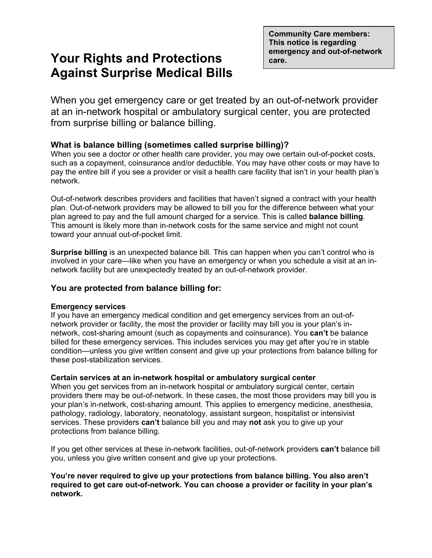**Community Care members: This notice is regarding** 

# **Pour Rights and Protections** emergency and out-of-network **Against Surprise Medical Bills**

When you get emergency care or get treated by an out-of-network provider at an in-network hospital or ambulatory surgical center, you are protected from surprise billing or balance billing.

## **What is balance billing (sometimes called surprise billing)?**

When you see a doctor or other health care provider, you may owe certain out-of-pocket costs, such as a copayment, coinsurance and/or deductible. You may have other costs or may have to pay the entire bill if you see a provider or visit a health care facility that isn't in your health plan's network.

Out-of-network describes providers and facilities that haven't signed a contract with your health plan. Out-of-network providers may be allowed to bill you for the difference between what your plan agreed to pay and the full amount charged for a service. This is called **balance billing**. This amount is likely more than in-network costs for the same service and might not count toward your annual out-of-pocket limit.

**Surprise billing** is an unexpected balance bill. This can happen when you can't control who is involved in your care—like when you have an emergency or when you schedule a visit at an innetwork facility but are unexpectedly treated by an out-of-network provider.

### **You are protected from balance billing for:**

#### **Emergency services**

If you have an emergency medical condition and get emergency services from an out-ofnetwork provider or facility, the most the provider or facility may bill you is your plan's innetwork, cost-sharing amount (such as copayments and coinsurance). You **can't** be balance billed for these emergency services. This includes services you may get after you're in stable condition—unless you give written consent and give up your protections from balance billing for these post-stabilization services.

#### **Certain services at an in-network hospital or ambulatory surgical center**

When you get services from an in-network hospital or ambulatory surgical center, certain providers there may be out-of-network. In these cases, the most those providers may bill you is your plan's in-network, cost-sharing amount. This applies to emergency medicine, anesthesia, pathology, radiology, laboratory, neonatology, assistant surgeon, hospitalist or intensivist services. These providers **can't** balance bill you and may **not** ask you to give up your protections from balance billing.

If you get other services at these in-network facilities, out-of-network providers **can't** balance bill you, unless you give written consent and give up your protections.

#### **You're never required to give up your protections from balance billing. You also aren't required to get care out-of-network. You can choose a provider or facility in your plan's network.**